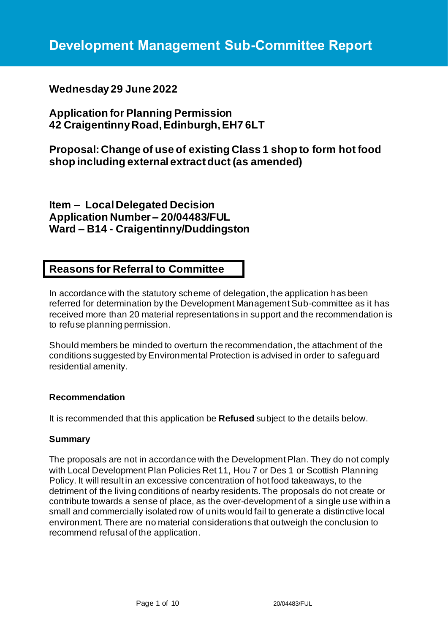# **Wednesday 29 June 2022**

**Application for Planning Permission 42 Craigentinny Road, Edinburgh, EH7 6LT**

**Proposal: Change of use of existing Class 1 shop to form hot food shop including external extract duct (as amended)**

**Item – Local Delegated Decision Application Number – 20/04483/FUL Ward – B14 - Craigentinny/Duddingston**

# **Reasons for Referral to Committee**

In accordance with the statutory scheme of delegation, the application has been referred for determination by the Development Management Sub-committee as it has received more than 20 material representations in support and the recommendation is to refuse planning permission.

Should members be minded to overturn the recommendation, the attachment of the conditions suggested by Environmental Protection is advised in order to safeguard residential amenity.

### **Recommendation**

It is recommended that this application be **Refused** subject to the details below.

### **Summary**

The proposals are not in accordance with the Development Plan. They do not comply with Local Development Plan Policies Ret 11, Hou 7 or Des 1 or Scottish Planning Policy. It will result in an excessive concentration of hot food takeaways, to the detriment of the living conditions of nearby residents. The proposals do not create or contribute towards a sense of place, as the over-development of a single use within a small and commercially isolated row of units would fail to generate a distinctive local environment. There are no material considerations that outweigh the conclusion to recommend refusal of the application.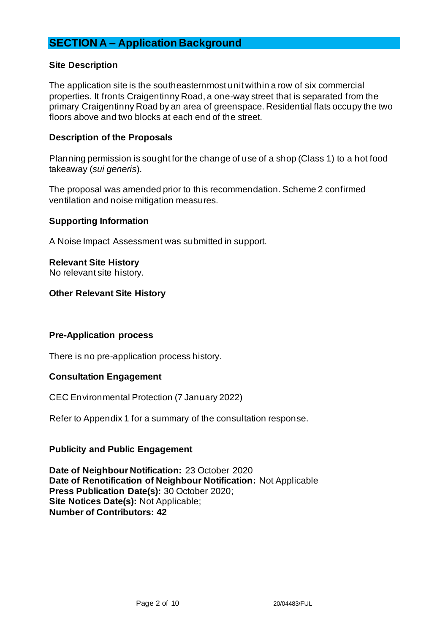# **SECTION A – Application Background**

### **Site Description**

The application site is the southeasternmost unit within a row of six commercial properties. It fronts Craigentinny Road, a one-way street that is separated from the primary Craigentinny Road by an area of greenspace. Residential flats occupy the two floors above and two blocks at each end of the street.

#### **Description of the Proposals**

Planning permission is sought for the change of use of a shop (Class 1) to a hot food takeaway (*sui generis*).

The proposal was amended prior to this recommendation. Scheme 2 confirmed ventilation and noise mitigation measures.

### **Supporting Information**

A Noise Impact Assessment was submitted in support.

### **Relevant Site History**

No relevant site history.

### **Other Relevant Site History**

#### **Pre-Application process**

There is no pre-application process history.

#### **Consultation Engagement**

CEC Environmental Protection (7 January 2022)

Refer to Appendix 1 for a summary of the consultation response.

### **Publicity and Public Engagement**

**Date of Neighbour Notification:** 23 October 2020 **Date of Renotification of Neighbour Notification:** Not Applicable **Press Publication Date(s):** 30 October 2020; **Site Notices Date(s):** Not Applicable; **Number of Contributors: 42**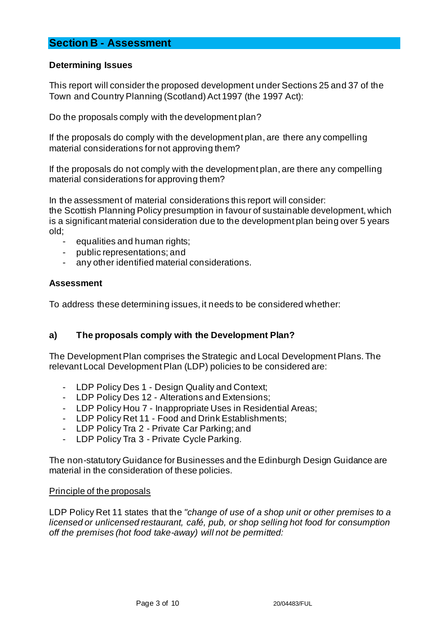# **Section B - Assessment**

### **Determining Issues**

This report will consider the proposed development under Sections 25 and 37 of the Town and Country Planning (Scotland) Act 1997 (the 1997 Act):

Do the proposals comply with the development plan?

If the proposals do comply with the development plan, are there any compelling material considerations for not approving them?

If the proposals do not comply with the development plan, are there any compelling material considerations for approving them?

In the assessment of material considerations this report will consider: the Scottish Planning Policy presumption in favour of sustainable development, which is a significant material consideration due to the development plan being over 5 years old;

- equalities and human rights;
- public representations; and
- any other identified material considerations.

### **Assessment**

To address these determining issues, it needs to be considered whether:

### **a) The proposals comply with the Development Plan?**

The Development Plan comprises the Strategic and Local Development Plans. The relevant Local Development Plan (LDP) policies to be considered are:

- LDP Policy Des 1 Design Quality and Context;
- LDP Policy Des 12 Alterations and Extensions;
- LDP Policy Hou 7 Inappropriate Uses in Residential Areas;
- LDP Policy Ret 11 Food and Drink Establishments;
- LDP Policy Tra 2 Private Car Parking; and
- LDP Policy Tra 3 Private Cycle Parking.

The non-statutory Guidance for Businesses and the Edinburgh Design Guidance are material in the consideration of these policies.

### Principle of the proposals

LDP Policy Ret 11 states that the *"change of use of a shop unit or other premises to a licensed or unlicensed restaurant, café, pub, or shop selling hot food for consumption off the premises (hot food take-away) will not be permitted:*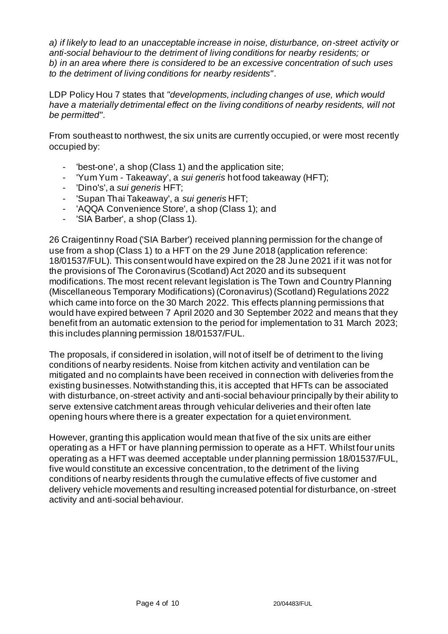*a) if likely to lead to an unacceptable increase in noise, disturbance, on-street activity or anti-social behaviour to the detriment of living conditions for nearby residents; or b) in an area where there is considered to be an excessive concentration of such uses to the detriment of living conditions for nearby residents"*.

LDP Policy Hou 7 states that *"developments, including changes of use, which would have a materially detrimental effect on the living conditions of nearby residents, will not be permitted"*.

From southeast to northwest, the six units are currently occupied, or were most recently occupied by:

- 'best-one', a shop (Class 1) and the application site;
- 'Yum Yum Takeaway', a *sui generis* hot food takeaway (HFT);
- 'Dino's', a *sui generis* HFT;
- 'Supan Thai Takeaway', a *sui generis* HFT;
- 'AQQA Convenience Store', a shop (Class 1); and
- 'SIA Barber', a shop (Class 1).

26 Craigentinny Road ('SIA Barber') received planning permission for the change of use from a shop (Class 1) to a HFT on the 29 June 2018 (application reference: 18/01537/FUL). This consent would have expired on the 28 June 2021 if it was not for the provisions of The Coronavirus (Scotland) Act 2020 and its subsequent modifications. The most recent relevant legislation is The Town and Country Planning (Miscellaneous Temporary Modifications) (Coronavirus) (Scotland) Regulations 2022 which came into force on the 30 March 2022. This effects planning permissions that would have expired between 7 April 2020 and 30 September 2022 and means that they benefit from an automatic extension to the period for implementation to 31 March 2023; this includes planning permission 18/01537/FUL.

The proposals, if considered in isolation, will not of itself be of detriment to the living conditions of nearby residents. Noise from kitchen activity and ventilation can be mitigated and no complaints have been received in connection with deliveries from the existing businesses. Notwithstanding this, it is accepted that HFTs can be associated with disturbance, on-street activity and anti-social behaviour principally by their ability to serve extensive catchment areas through vehicular deliveries and their often late opening hours where there is a greater expectation for a quiet environment.

However, granting this application would mean that five of the six units are either operating as a HFT or have planning permission to operate as a HFT. Whilst four units operating as a HFT was deemed acceptable under planning permission 18/01537/FUL, five would constitute an excessive concentration, to the detriment of the living conditions of nearby residents through the cumulative effects of five customer and delivery vehicle movements and resulting increased potential for disturbance, on -street activity and anti-social behaviour.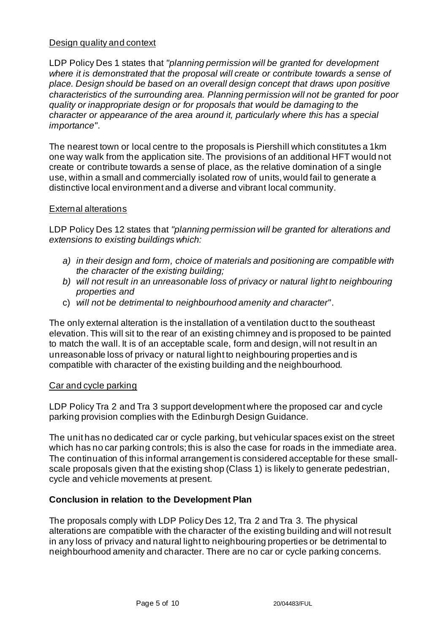### Design quality and context

LDP Policy Des 1 states that *"planning permission will be granted for development where it is demonstrated that the proposal will create or contribute towards a sense of place. Design should be based on an overall design concept that draws upon positive characteristics of the surrounding area. Planning permission will not be granted for poor quality or inappropriate design or for proposals that would be damaging to the character or appearance of the area around it, particularly where this has a special importance"*.

The nearest town or local centre to the proposals is Piershill which constitutes a 1km one way walk from the application site. The provisions of an additional HFT would not create or contribute towards a sense of place, as the relative domination of a single use, within a small and commercially isolated row of units, would fail to generate a distinctive local environment and a diverse and vibrant local community.

## External alterations

LDP Policy Des 12 states that *"planning permission will be granted for alterations and extensions to existing buildings which:* 

- *a) in their design and form, choice of materials and positioning are compatible with the character of the existing building;*
- *b) will not result in an unreasonable loss of privacy or natural light to neighbouring properties and*
- c) *will not be detrimental to neighbourhood amenity and character"*.

The only external alteration is the installation of a ventilation duct to the southeast elevation. This will sit to the rear of an existing chimney and is proposed to be painted to match the wall. It is of an acceptable scale, form and design, will not result in an unreasonable loss of privacy or natural light to neighbouring properties and is compatible with character of the existing building and the neighbourhood.

### Car and cycle parking

LDP Policy Tra 2 and Tra 3 support development where the proposed car and cycle parking provision complies with the Edinburgh Design Guidance.

The unit has no dedicated car or cycle parking, but vehicular spaces exist on the street which has no car parking controls; this is also the case for roads in the immediate area. The continuation of this informal arrangement is considered acceptable for these smallscale proposals given that the existing shop (Class 1) is likely to generate pedestrian, cycle and vehicle movements at present.

## **Conclusion in relation to the Development Plan**

The proposals comply with LDP Policy Des 12, Tra 2 and Tra 3. The physical alterations are compatible with the character of the existing building and will not result in any loss of privacy and natural light to neighbouring properties or be detrimental to neighbourhood amenity and character. There are no car or cycle parking concerns.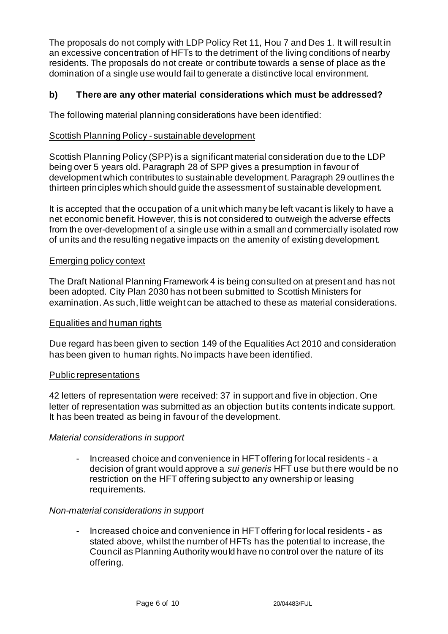The proposals do not comply with LDP Policy Ret 11, Hou 7 and Des 1. It will result in an excessive concentration of HFTs to the detriment of the living conditions of nearby residents. The proposals do not create or contribute towards a sense of place as the domination of a single use would fail to generate a distinctive local environment.

## **b) There are any other material considerations which must be addressed?**

The following material planning considerations have been identified:

### Scottish Planning Policy - sustainable development

Scottish Planning Policy (SPP) is a significant material consideration due to the LDP being over 5 years old. Paragraph 28 of SPP gives a presumption in favour of development which contributes to sustainable development. Paragraph 29 outlines the thirteen principles which should guide the assessment of sustainable development.

It is accepted that the occupation of a unit which many be left vacant is likely to have a net economic benefit. However, this is not considered to outweigh the adverse effects from the over-development of a single use within a small and commercially isolated row of units and the resulting negative impacts on the amenity of existing development.

### Emerging policy context

The Draft National Planning Framework 4 is being consulted on at present and has not been adopted. City Plan 2030 has not been submitted to Scottish Ministers for examination. As such, little weight can be attached to these as material considerations.

#### Equalities and human rights

Due regard has been given to section 149 of the Equalities Act 2010 and consideration has been given to human rights. No impacts have been identified.

#### Public representations

42 letters of representation were received: 37 in support and five in objection. One letter of representation was submitted as an objection but its contents indicate support. It has been treated as being in favour of the development.

### *Material considerations in support*

Increased choice and convenience in HFT offering for local residents - a decision of grant would approve a *sui generis* HFT use but there would be no restriction on the HFT offering subject to any ownership or leasing requirements.

#### *Non-material considerations in support*

Increased choice and convenience in HFT offering for local residents - as stated above, whilst the number of HFTs has the potential to increase, the Council as Planning Authority would have no control over the nature of its offering.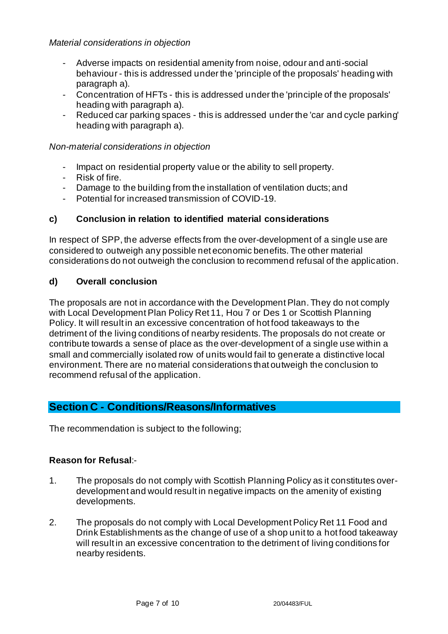- Adverse impacts on residential amenity from noise, odour and anti-social behaviour - this is addressed under the 'principle of the proposals' heading with paragraph a).
- Concentration of HFTs this is addressed under the 'principle of the proposals' heading with paragraph a).
- Reduced car parking spaces this is addressed under the 'car and cycle parking' heading with paragraph a).

# *Non-material considerations in objection*

- Impact on residential property value or the ability to sell property.
- Risk of fire.
- Damage to the building from the installation of ventilation ducts; and
- Potential for increased transmission of COVID-19.

# **c) Conclusion in relation to identified material considerations**

In respect of SPP, the adverse effects from the over-development of a single use are considered to outweigh any possible net economic benefits. The other material considerations do not outweigh the conclusion to recommend refusal of the application.

# **d) Overall conclusion**

The proposals are not in accordance with the Development Plan. They do not comply with Local Development Plan Policy Ret 11, Hou 7 or Des 1 or Scottish Planning Policy. It will result in an excessive concentration of hot food takeaways to the detriment of the living conditions of nearby residents. The proposals do not create or contribute towards a sense of place as the over-development of a single use within a small and commercially isolated row of units would fail to generate a distinctive local environment. There are no material considerations that outweigh the conclusion to recommend refusal of the application.

# **Section C - Conditions/Reasons/Informatives**

The recommendation is subject to the following;

## **Reason for Refusal**:-

- 1. The proposals do not comply with Scottish Planning Policy as it constitutes overdevelopment and would result in negative impacts on the amenity of existing developments.
- 2. The proposals do not comply with Local Development Policy Ret 11 Food and Drink Establishments as the change of use of a shop unit to a hot food takeaway will result in an excessive concentration to the detriment of living conditions for nearby residents.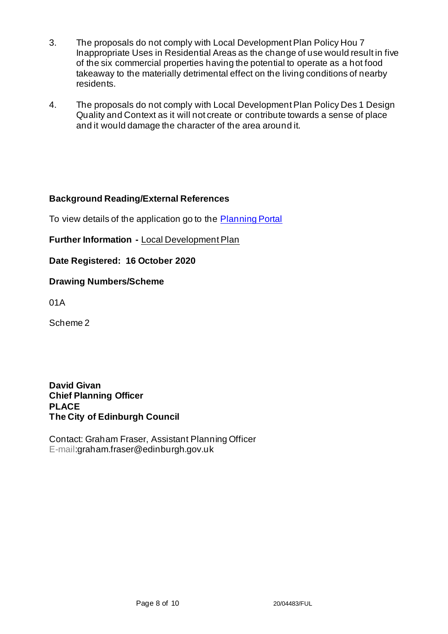- 3. The proposals do not comply with Local Development Plan Policy Hou 7 Inappropriate Uses in Residential Areas as the change of use would result in five of the six commercial properties having the potential to operate as a hot food takeaway to the materially detrimental effect on the living conditions of nearby residents.
- 4. The proposals do not comply with Local Development Plan Policy Des 1 Design Quality and Context as it will not create or contribute towards a sense of place and it would damage the character of the area around it.

## **Background Reading/External References**

To view details of the application go to the [Planning Portal](https://citydev-portal.edinburgh.gov.uk/idoxpa-web/applicationDetails.do?activeTab=summary&keyVal=QIAJWCEWI2I00)

**Further Information -** [Local Development Plan](https://www.edinburgh.gov.uk/local-development-plan-guidance-1/edinburgh-local-development-plan/1)

**Date Registered: 16 October 2020**

### **Drawing Numbers/Scheme**

01A

Scheme 2

**David Givan Chief Planning Officer PLACE The City of Edinburgh Council**

Contact: Graham Fraser, Assistant Planning Officer E-mail:graham.fraser@edinburgh.gov.uk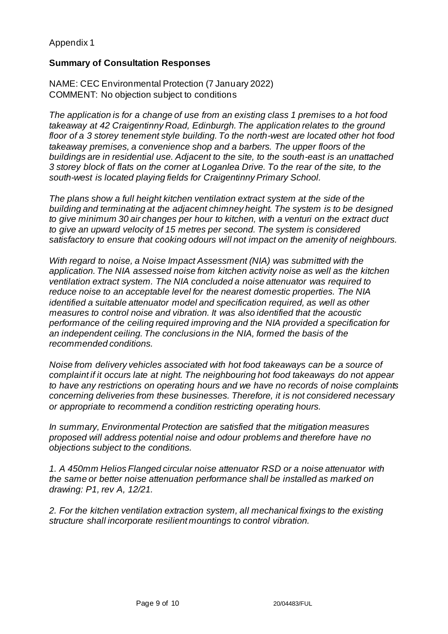## Appendix 1

### **Summary of Consultation Responses**

NAME: CEC Environmental Protection (7 January 2022) COMMENT: No objection subject to conditions

*The application is for a change of use from an existing class 1 premises to a hot food takeaway at 42 Craigentinny Road, Edinburgh. The application relates to the ground floor of a 3 storey tenement style building. To the north-west are located other hot food takeaway premises, a convenience shop and a barbers. The upper floors of the buildings are in residential use. Adjacent to the site, to the south-east is an unattached 3 storey block of flats on the corner at Loganlea Drive. To the rear of the site, to the south-west is located playing fields for Craigentinny Primary School.*

*The plans show a full height kitchen ventilation extract system at the side of the building and terminating at the adjacent chimney height. The system is to be designed to give minimum 30 air changes per hour to kitchen, with a venturi on the extract duct to give an upward velocity of 15 metres per second. The system is considered satisfactory to ensure that cooking odours will not impact on the amenity of neighbours.*

*With regard to noise, a Noise Impact Assessment (NIA) was submitted with the application. The NIA assessed noise from kitchen activity noise as well as the kitchen ventilation extract system. The NIA concluded a noise attenuator was required to reduce noise to an acceptable level for the nearest domestic properties. The NIA identified a suitable attenuator model and specification required, as well as other measures to control noise and vibration. It was also identified that the acoustic performance of the ceiling required improving and the NIA provided a specification for an independent ceiling. The conclusions in the NIA, formed the basis of the recommended conditions.*

*Noise from delivery vehicles associated with hot food takeaways can be a source of complaint if it occurs late at night. The neighbouring hot food takeaways do not appear to have any restrictions on operating hours and we have no records of noise complaints concerning deliveries from these businesses. Therefore, it is not considered necessary or appropriate to recommend a condition restricting operating hours.*

*In summary, Environmental Protection are satisfied that the mitigation measures proposed will address potential noise and odour problems and therefore have no objections subject to the conditions.*

*1. A 450mm Helios Flanged circular noise attenuator RSD or a noise attenuator with the same or better noise attenuation performance shall be installed as marked on drawing: P1, rev A, 12/21.*

*2. For the kitchen ventilation extraction system, all mechanical fixings to the existing structure shall incorporate resilient mountings to control vibration.*